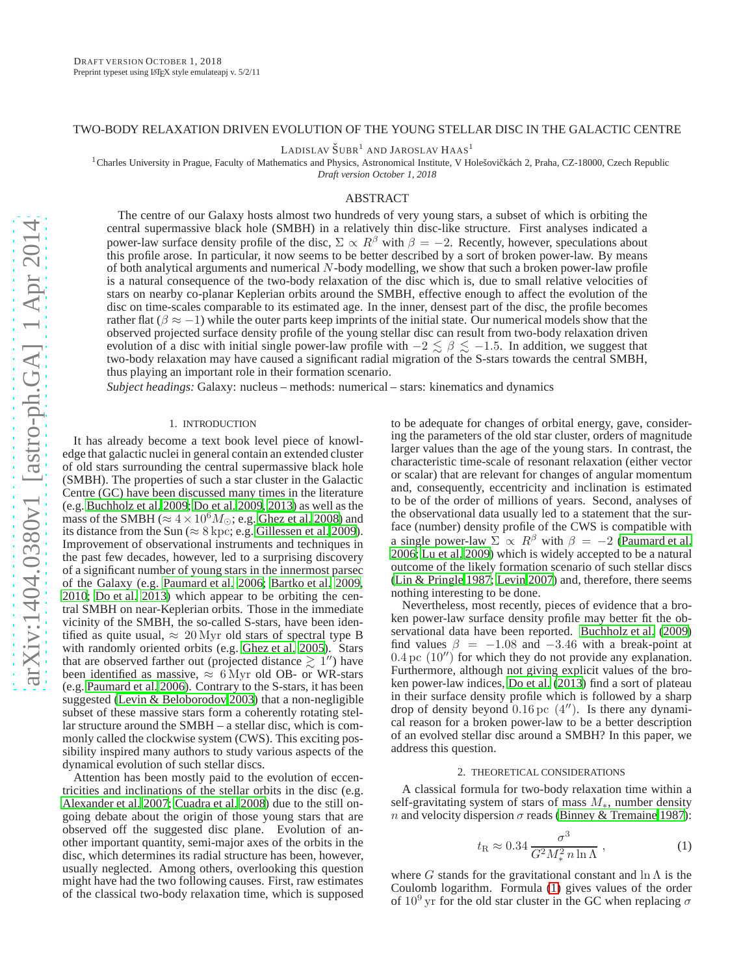# TWO-BODY RELAXATION DRIVEN EVOLUTION OF THE YOUNG STELLAR DISC IN THE GALACTIC CENTRE

LADISLAV  $\text{\r{SUBR}}^1$  and Jaroslav Haas<sup>1</sup>

<sup>1</sup>Charles University in Prague, Faculty of Mathematics and Physics, Astronomical Institute, V Holešovičkách 2, Praha, CZ-18000, Czech Republic

*Draft version October 1, 2018*

# ABSTRACT

The centre of our Galaxy hosts almost two hundreds of very young stars, a subset of which is orbiting the central supermassive black hole (SMBH) in a relatively thin disc-like structure. First analyses indicated a power-law surface density profile of the disc,  $\Sigma \propto R^{\beta}$  with  $\beta = -2$ . Recently, however, speculations about this profile arose. In particular, it now seems to be better described by a sort of broken power-law. By means of both analytical arguments and numerical N-body modelling, we show that such a broken power-law profile is a natural consequence of the two-body relaxation of the disc which is, due to small relative velocities of stars on nearby co-planar Keplerian orbits around the SMBH, effective enough to affect the evolution of the disc on time-scales comparable to its estimated age. In the inner, densest part of the disc, the profile becomes rather flat ( $\beta \approx -1$ ) while the outer parts keep imprints of the initial state. Our numerical models show that the observed projected surface density profile of the young stellar disc can result from two-body relaxation driven evolution of a disc with initial single power-law profile with  $-2 \le \beta \le -1.5$ . In addition, we suggest that two-body relaxation may have caused a significant radial migration of the S-stars towards the central SMBH, thus playing an important role in their formation scenario.

*Subject headings:* Galaxy: nucleus – methods: numerical – stars: kinematics and dynamics

### 1. INTRODUCTION

It has already become a text book level piece of knowledge that galactic nuclei in general contain an extended cluster of old stars surrounding the central supermassive black hole (SMBH). The properties of such a star cluster in the Galactic Centre (GC) have been discussed many times in the literature (e.g. [Buchholz et al. 2009;](#page-4-0) [Do et al. 2009](#page-4-1), [2013\)](#page-4-2) as well as the mass of the SMBH ( $\approx 4 \times 10^6 M_{\odot}$ ; e.g. [Ghez et al. 2008](#page-5-0)) and its distance from the Sun ( $\approx 8$  kpc; e.g. [Gillessen et al. 2009\)](#page-5-1). Improvement of observational instruments and techniques in the past few decades, however, led to a surprising discovery of a significant number of young stars in the innermost parsec of the Galaxy (e.g. [Paumard et al. 2006;](#page-5-2) [Bartko et al. 2009,](#page-4-3) [2010;](#page-4-4) [Do et al. 2013](#page-4-2)) which appear to be orbiting the central SMBH on near-Keplerian orbits. Those in the immediate vicinity of the SMBH, the so-called S-stars, have been identified as quite usual,  $\approx 20 \,\text{Myr}$  old stars of spectral type B with randomly oriented orbits (e.g. [Ghez et al. 2005\)](#page-4-5). Stars that are observed farther out (projected distance  $\gtrsim 1''$ ) have been identified as massive,  $\approx 6$  Myr old OB- or WR-stars (e.g. [Paumard et al. 2006\)](#page-5-2). Contrary to the S-stars, it has been suggested [\(Levin & Beloborodov 2003\)](#page-5-3) that a non-negligible subset of these massive stars form a coherently rotating stellar structure around the SMBH – a stellar disc, which is commonly called the clockwise system (CWS). This exciting possibility inspired many authors to study various aspects of the dynamical evolution of such stellar discs.

Attention has been mostly paid to the evolution of eccentricities and inclinations of the stellar orbits in the disc (e.g. [Alexander et al. 2007;](#page-4-6) [Cuadra et al. 2008\)](#page-4-7) due to the still ongoing debate about the origin of those young stars that are observed off the suggested disc plane. Evolution of another important quantity, semi-major axes of the orbits in the disc, which determines its radial structure has been, however, usually neglected. Among others, overlooking this question might have had the two following causes. First, raw estimates of the classical two-body relaxation time, which is supposed to be adequate for changes of orbital energy, gave, considering the parameters of the old star cluster, orders of magnitude larger values than the age of the young stars. In contrast, the characteristic time-scale of resonant relaxation (either vector or scalar) that are relevant for changes of angular momentum and, consequently, eccentricity and inclination is estimated to be of the order of millions of years. Second, analyses of the observational data usually led to a statement that the surface (number) density profile of the CWS is compatible with a single power-law  $\Sigma \propto R^{\beta}$  with  $\beta = -2$  [\(Paumard et al.](#page-5-2) [2006;](#page-5-2) [Lu et al. 2009\)](#page-5-4) which is widely accepted to be a natural outcome of the likely formation scenario of such stellar discs [\(Lin & Pringle 1987;](#page-5-5) [Levin 2007](#page-5-6)) and, therefore, there seems nothing interesting to be done.

Nevertheless, most recently, pieces of evidence that a broken power-law surface density profile may better fit the observational data have been reported. [Buchholz et al.](#page-4-0) [\(2009\)](#page-4-0) find values  $\beta$  = −1.08 and −3.46 with a break-point at  $0.4 \,\mathrm{pc}$   $(10'')$  for which they do not provide any explanation. Furthermore, although not giving explicit values of the broken power-law indices, [Do et al. \(2013\)](#page-4-2) find a sort of plateau in their surface density profile which is followed by a sharp drop of density beyond  $0.16 \,\mathrm{pc}$  (4"). Is there any dynamical reason for a broken power-law to be a better description of an evolved stellar disc around a SMBH? In this paper, we address this question.

# 2. THEORETICAL CONSIDERATIONS

<span id="page-0-1"></span>A classical formula for two-body relaxation time within a self-gravitating system of stars of mass  $M_*$ , number density n and velocity dispersion  $\sigma$  reads [\(Binney & Tremaine 1987\)](#page-4-8):

<span id="page-0-0"></span>
$$
t_{\rm R} \approx 0.34 \frac{\sigma^3}{G^2 M_*^2 n \ln \Lambda} \,, \tag{1}
$$

where G stands for the gravitational constant and  $\ln \Lambda$  is the Coulomb logarithm. Formula [\(1\)](#page-0-0) gives values of the order of  $10^9$  yr for the old star cluster in the GC when replacing  $\sigma$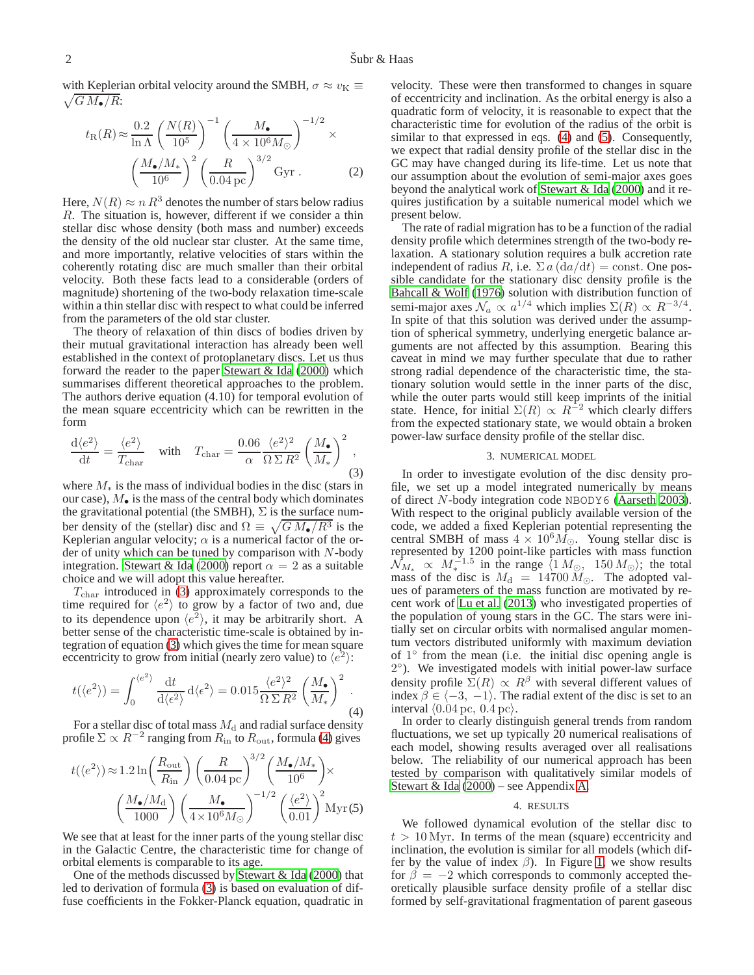$\sqrt{G M_{\bullet}/R}$ : with Keplerian orbital velocity around the SMBH,  $\sigma \approx v_K \equiv$ 

$$
t_{\rm R}(R) \approx \frac{0.2}{\ln \Lambda} \left(\frac{N(R)}{10^5}\right)^{-1} \left(\frac{M_{\bullet}}{4 \times 10^6 M_{\odot}}\right)^{-1/2} \times \left(\frac{M_{\bullet}/M_{\ast}}{10^6}\right)^2 \left(\frac{R}{0.04 \,\rm pc}\right)^{3/2} \,\rm Gyr \,. \tag{2}
$$

Here,  $N(R) \approx n R^3$  denotes the number of stars below radius R. The situation is, however, different if we consider a thin stellar disc whose density (both mass and number) exceeds the density of the old nuclear star cluster. At the same time, and more importantly, relative velocities of stars within the coherently rotating disc are much smaller than their orbital velocity. Both these facts lead to a considerable (orders of magnitude) shortening of the two-body relaxation time-scale within a thin stellar disc with respect to what could be inferred from the parameters of the old star cluster.

The theory of relaxation of thin discs of bodies driven by their mutual gravitational interaction has already been well established in the context of protoplanetary discs. Let us thus forward the reader to the paper [Stewart & Ida \(2000\)](#page-5-7) which summarises different theoretical approaches to the problem. The authors derive equation (4.10) for temporal evolution of the mean square eccentricity which can be rewritten in the form

<span id="page-1-0"></span>
$$
\frac{\mathrm{d}\langle e^2 \rangle}{\mathrm{d}t} = \frac{\langle e^2 \rangle}{T_{\text{char}}} \quad \text{with} \quad T_{\text{char}} = \frac{0.06}{\alpha} \frac{\langle e^2 \rangle^2}{\Omega \Sigma R^2} \left( \frac{M_{\bullet}}{M_{*}} \right)^2 , \tag{3}
$$

where  $M_*$  is the mass of individual bodies in the disc (stars in our case),  $M_{\bullet}$  is the mass of the central body which dominates the gravitational potential (the SMBH),  $\Sigma$  is the surface number density of the (stellar) disc and  $\Omega \equiv \sqrt{GM_{\bullet}/R^3}$  is the Keplerian angular velocity;  $\alpha$  is a numerical factor of the order of unity which can be tuned by comparison with  $N$ -body integration. [Stewart & Ida](#page-5-7) [\(2000\)](#page-5-7) report  $\alpha = 2$  as a suitable choice and we will adopt this value hereafter.

 $T_{\text{char}}$  introduced in [\(3\)](#page-1-0) approximately corresponds to the time required for  $\langle e^2 \rangle$  to grow by a factor of two and, due to its dependence upon  $\langle e^2 \rangle$ , it may be arbitrarily short. A better sense of the characteristic time-scale is obtained by integration of equation [\(3\)](#page-1-0) which gives the time for mean square eccentricity to grow from initial (nearly zero value) to  $\langle e^2 \rangle$ :

<span id="page-1-1"></span>
$$
t(\langle e^2 \rangle) = \int_0^{\langle e^2 \rangle} \frac{\mathrm{d}t}{\mathrm{d}\langle e^2 \rangle} \,\mathrm{d}\langle e^2 \rangle = 0.015 \frac{\langle e^2 \rangle^2}{\Omega \,\Sigma R^2} \left(\frac{M_\bullet}{M_*}\right)^2 \,. \tag{4}
$$

For a stellar disc of total mass  $M_d$  and radial surface density profile  $\Sigma \propto R^{-2}$  ranging from  $R_{\rm in}$  to  $R_{\rm out}$ , formula [\(4\)](#page-1-1) gives

<span id="page-1-2"></span>
$$
t(\langle e^2 \rangle) \approx 1.2 \ln \left( \frac{R_{\rm out}}{R_{\rm in}} \right) \left( \frac{R}{0.04 \,\rm pc} \right)^{3/2} \left( \frac{M_{\bullet}/M_*}{10^6} \right) \times
$$

$$
\left( \frac{M_{\bullet}/M_{\rm d}}{1000} \right) \left( \frac{M_{\bullet}}{4 \times 10^6 M_{\odot}} \right)^{-1/2} \left( \frac{\langle e^2 \rangle}{0.01} \right)^2 \,\rm Myr(5)
$$

We see that at least for the inner parts of the young stellar disc in the Galactic Centre, the characteristic time for change of orbital elements is comparable to its age.

One of the methods discussed by [Stewart & Ida](#page-5-7) [\(2000\)](#page-5-7) that led to derivation of formula [\(3\)](#page-1-0) is based on evaluation of diffuse coefficients in the Fokker-Planck equation, quadratic in velocity. These were then transformed to changes in square of eccentricity and inclination. As the orbital energy is also a quadratic form of velocity, it is reasonable to expect that the characteristic time for evolution of the radius of the orbit is similar to that expressed in eqs. [\(4\)](#page-1-1) and [\(5\)](#page-1-2). Consequently, we expect that radial density profile of the stellar disc in the GC may have changed during its life-time. Let us note that our assumption about the evolution of semi-major axes goes beyond the analytical work of [Stewart & Ida \(2000](#page-5-7)) and it requires justification by a suitable numerical model which we present below.

The rate of radial migration has to be a function of the radial density profile which determines strength of the two-body relaxation. A stationary solution requires a bulk accretion rate independent of radius R, i.e.  $\Sigma a (da/dt) = \text{const.}$  One possible candidate for the stationary disc density profile is the [Bahcall & Wolf](#page-4-9) [\(1976\)](#page-4-9) solution with distribution function of semi-major axes  $\mathcal{N}_a \propto a^{1/4}$  which implies  $\Sigma(R) \propto R^{-3/4}$ . In spite of that this solution was derived under the assumption of spherical symmetry, underlying energetic balance arguments are not affected by this assumption. Bearing this caveat in mind we may further speculate that due to rather strong radial dependence of the characteristic time, the stationary solution would settle in the inner parts of the disc, while the outer parts would still keep imprints of the initial state. Hence, for initial  $\Sigma(R) \propto R^{-2}$  which clearly differs from the expected stationary state, we would obtain a broken power-law surface density profile of the stellar disc.

#### 3. NUMERICAL MODEL

<span id="page-1-3"></span>In order to investigate evolution of the disc density profile, we set up a model integrated numerically by means of direct N-body integration code NBODY6 [\(Aarseth 2003](#page-4-10)). With respect to the original publicly available version of the code, we added a fixed Keplerian potential representing the central SMBH of mass  $4 \times 10^6 M_{\odot}$ . Young stellar disc is represented by 1200 point-like particles with mass function  $\mathcal{N}_{M_*} \propto M_*^{-1.5}$  in the range  $\langle 1 M_{\odot}, 150 M_{\odot} \rangle$ ; the total mass of the disc is  $M_d = 14700 M_{\odot}$ . The adopted values of parameters of the mass function are motivated by recent work of [Lu et al.](#page-5-8) [\(2013\)](#page-5-8) who investigated properties of the population of young stars in the GC. The stars were initially set on circular orbits with normalised angular momentum vectors distributed uniformly with maximum deviation of 1° from the mean (i.e. the initial disc opening angle is 2 ◦ ). We investigated models with initial power-law surface density profile  $\Sigma(R) \propto R^{\beta}$  with several different values of index  $\beta \in \langle -3, -1 \rangle$ . The radial extent of the disc is set to an interval  $\langle 0.04 \,\text{pc}, \, 0.4 \,\text{pc} \rangle$ .

In order to clearly distinguish general trends from random fluctuations, we set up typically 20 numerical realisations of each model, showing results averaged over all realisations below. The reliability of our numerical approach has been tested by comparison with qualitatively similar models of [Stewart & Ida \(2000\)](#page-5-7) – see Appendix [A.](#page-5-9)

### 4. RESULTS

We followed dynamical evolution of the stellar disc to  $t > 10$  Myr. In terms of the mean (square) eccentricity and inclination, the evolution is similar for all models (which differ by the value of index  $\beta$ ). In Figure [1,](#page-2-0) we show results for  $\beta = -2$  which corresponds to commonly accepted theoretically plausible surface density profile of a stellar disc formed by self-gravitational fragmentation of parent gaseous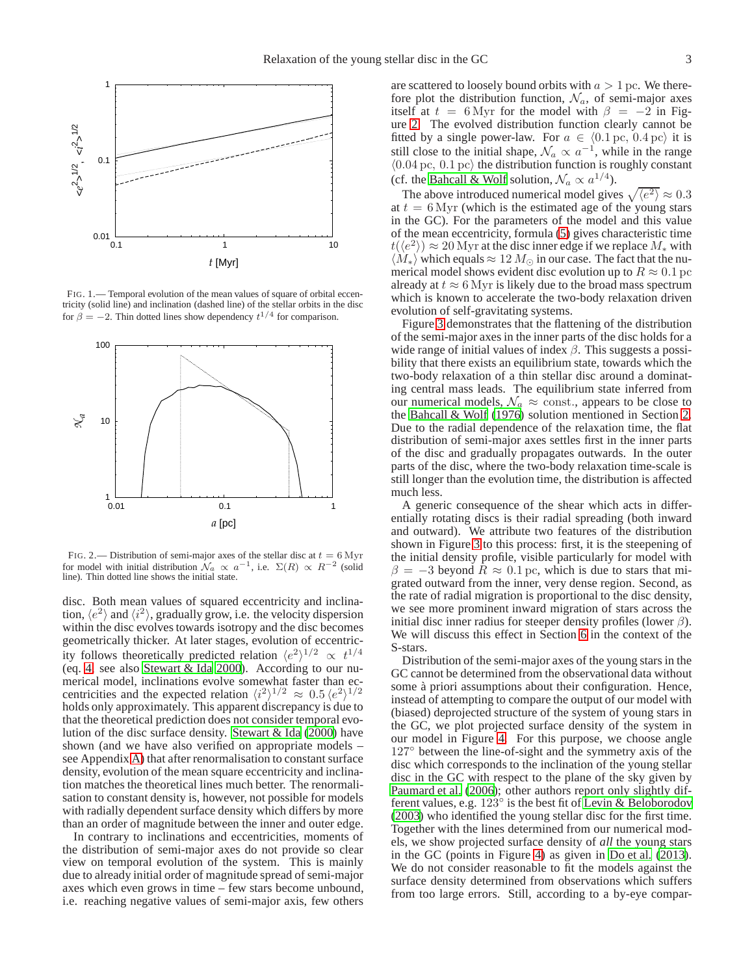

<span id="page-2-0"></span>FIG. 1.— Temporal evolution of the mean values of square of orbital eccentricity (solid line) and inclination (dashed line) of the stellar orbits in the disc for  $\beta = -2$ . Thin dotted lines show dependency  $t^{1/4}$  for comparison.



<span id="page-2-1"></span>FIG. 2.— Distribution of semi-major axes of the stellar disc at  $t = 6$  Myr for model with initial distribution  $\mathcal{N}_a \propto a^{-1}$ , i.e.  $\Sigma(R) \propto R^{-2}$  (solid line). Thin dotted line shows the initial state.

disc. Both mean values of squared eccentricity and inclination,  $\langle e^2 \rangle$  and  $\langle i^2 \rangle$ , gradually grow, i.e. the velocity dispersion within the disc evolves towards isotropy and the disc becomes geometrically thicker. At later stages, evolution of eccentricity follows theoretically predicted relation  $\langle e^2 \rangle^{1/2} \propto t^{1/4}$ (eq. [4,](#page-1-1) see also [Stewart & Ida 2000\)](#page-5-7). According to our numerical model, inclinations evolve somewhat faster than eccentricities and the expected relation  $\langle i^2 \rangle^{1/2} \approx 0.5 \langle e^2 \rangle^{1/2}$ holds only approximately. This apparent discrepancy is due to that the theoretical prediction does not consider temporal evolution of the disc surface density. [Stewart & Ida](#page-5-7) [\(2000\)](#page-5-7) have shown (and we have also verified on appropriate models – see Appendix [A\)](#page-5-9) that after renormalisation to constant surface density, evolution of the mean square eccentricity and inclination matches the theoretical lines much better. The renormalisation to constant density is, however, not possible for models with radially dependent surface density which differs by more than an order of magnitude between the inner and outer edge.

In contrary to inclinations and eccentricities, moments of the distribution of semi-major axes do not provide so clear view on temporal evolution of the system. This is mainly due to already initial order of magnitude spread of semi-major axes which even grows in time – few stars become unbound, i.e. reaching negative values of semi-major axis, few others

are scattered to loosely bound orbits with  $a > 1$  pc. We therefore plot the distribution function,  $\mathcal{N}_a$ , of semi-major axes itself at  $t = 6$  Myr for the model with  $\beta = -2$  in Figure [2.](#page-2-1) The evolved distribution function clearly cannot be fitted by a single power-law. For  $a \in (0.1 \text{ pc}, 0.4 \text{ pc})$  it is still close to the initial shape,  $\mathcal{N}_a \propto a^{-1}$ , while in the range  $\langle 0.04 \,\text{pc}, \, 0.1 \,\text{pc} \rangle$  the distribution function is roughly constant (cf. the [Bahcall & Wolf](#page-4-9) solution,  $\mathcal{N}_a \propto a^{1/4}$ ).

The above introduced numerical model gives  $\sqrt{\langle e^2 \rangle} \approx 0.3$ at  $t = 6$  Myr (which is the estimated age of the young stars in the GC). For the parameters of the model and this value of the mean eccentricity, formula [\(5\)](#page-1-2) gives characteristic time  $t(\langle e^2 \rangle) \approx 20$  Myr at the disc inner edge if we replace  $M_*$  with  $\langle M_* \rangle$  which equals  $\approx 12 M_{\odot}$  in our case. The fact that the numerical model shows evident disc evolution up to  $R \approx 0.1$  pc already at  $t \approx 6$  Myr is likely due to the broad mass spectrum which is known to accelerate the two-body relaxation driven evolution of self-gravitating systems.

Figure [3](#page-3-0) demonstrates that the flattening of the distribution of the semi-major axes in the inner parts of the disc holds for a wide range of initial values of index  $\beta$ . This suggests a possibility that there exists an equilibrium state, towards which the two-body relaxation of a thin stellar disc around a dominating central mass leads. The equilibrium state inferred from our numerical models,  $\mathcal{N}_a \approx$  const., appears to be close to the [Bahcall & Wolf](#page-4-9) [\(1976\)](#page-4-9) solution mentioned in Section [2.](#page-0-1) Due to the radial dependence of the relaxation time, the flat distribution of semi-major axes settles first in the inner parts of the disc and gradually propagates outwards. In the outer parts of the disc, where the two-body relaxation time-scale is still longer than the evolution time, the distribution is affected much less.

A generic consequence of the shear which acts in differentially rotating discs is their radial spreading (both inward and outward). We attribute two features of the distribution shown in Figure [3](#page-3-0) to this process: first, it is the steepening of the initial density profile, visible particularly for model with  $\beta = -3$  beyond  $R \approx 0.1$  pc, which is due to stars that migrated outward from the inner, very dense region. Second, as the rate of radial migration is proportional to the disc density, we see more prominent inward migration of stars across the initial disc inner radius for steeper density profiles (lower  $\beta$ ). We will discuss this effect in Section [6](#page-4-11) in the context of the S-stars.

Distribution of the semi-major axes of the young stars in the GC cannot be determined from the observational data without some à priori assumptions about their configuration. Hence, instead of attempting to compare the output of our model with (biased) deprojected structure of the system of young stars in the GC, we plot projected surface density of the system in our model in Figure [4.](#page-3-1) For this purpose, we choose angle 127◦ between the line-of-sight and the symmetry axis of the disc which corresponds to the inclination of the young stellar disc in the GC with respect to the plane of the sky given by [Paumard et al. \(2006](#page-5-2)); other authors report only slightly different values, e.g.  $123^\circ$  is the best fit of [Levin & Beloborodov](#page-5-3) [\(2003\)](#page-5-3) who identified the young stellar disc for the first time. Together with the lines determined from our numerical models, we show projected surface density of *all* the young stars in the GC (points in Figure [4\)](#page-3-1) as given in [Do et al. \(2013](#page-4-2)). We do not consider reasonable to fit the models against the surface density determined from observations which suffers from too large errors. Still, according to a by-eye compar-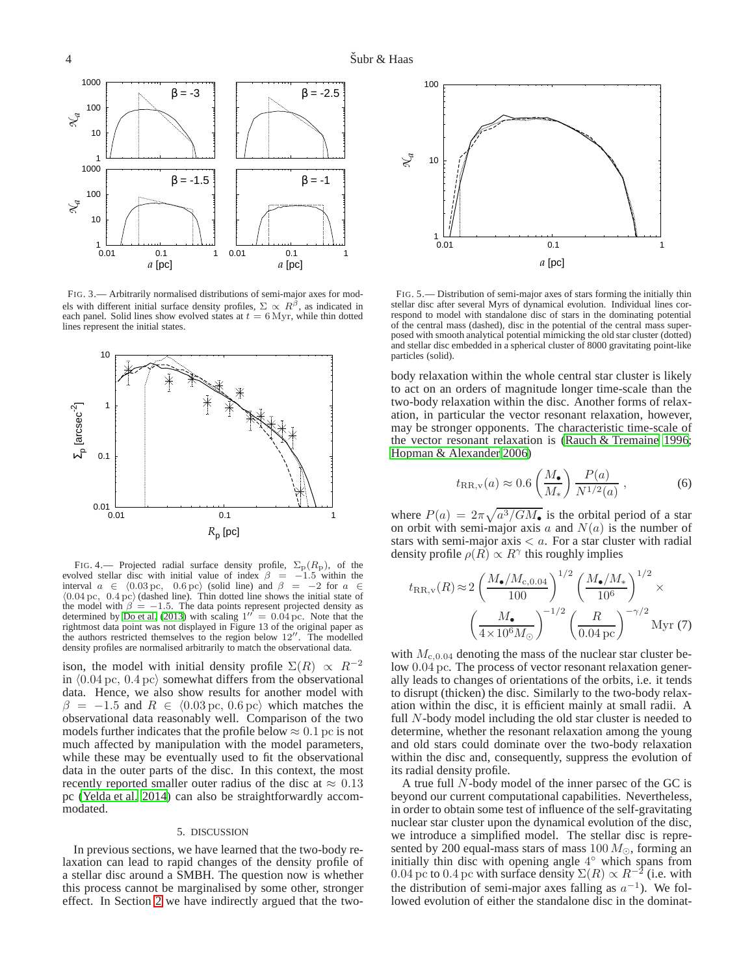

<span id="page-3-0"></span>FIG. 3.— Arbitrarily normalised distributions of semi-major axes for models with different initial surface density profiles,  $\Sigma \propto R^{\beta}$ , as indicated in each panel. Solid lines show evolved states at  $t = 6$  Myr, while thin dotted lines represent the initial states.



<span id="page-3-1"></span>FIG. 4.— Projected radial surface density profile,  $\Sigma_{\rm p}(R_{\rm p})$ , of the evolved stellar disc with initial value of index  $\beta = -1.5$  within the interval  $a \in \langle 0.03 \text{ pc}, 0.6 \text{ pc} \rangle$  (solid line) and  $\beta = -2$  for  $a \in$  $(0.04 \,\text{pc}, \, 0.4 \,\text{pc})$  (dashed line). Thin dotted line shows the initial state of the model with  $\beta = -1.5$ . The data points represent projected density as determined by Do et al.  $(2013)$  with scaling  $1'' = 0.04$  pc. Note that the rightmost data point was not displayed in Figure 13 of the original paper as the authors restricted themselves to the region below 12′′. The modelled density profiles are normalised arbitrarily to match the observational data.

ison, the model with initial density profile  $\Sigma(R) \propto R^{-2}$ in  $(0.04 \,\mathrm{pc}, \, 0.4 \,\mathrm{pc})$  somewhat differs from the observational data. Hence, we also show results for another model with  $\beta$  = -1.5 and  $R \in \langle 0.03 \text{ pc}, 0.6 \text{ pc} \rangle$  which matches the observational data reasonably well. Comparison of the two models further indicates that the profile below  $\approx 0.1$  pc is not much affected by manipulation with the model parameters, while these may be eventually used to fit the observational data in the outer parts of the disc. In this context, the most recently reported smaller outer radius of the disc at  $\approx 0.13$ pc [\(Yelda et al. 2014\)](#page-5-10) can also be straightforwardly accommodated.

### 5. DISCUSSION

In previous sections, we have learned that the two-body relaxation can lead to rapid changes of the density profile of a stellar disc around a SMBH. The question now is whether this process cannot be marginalised by some other, stronger effect. In Section [2](#page-0-1) we have indirectly argued that the two-



<span id="page-3-2"></span>FIG. 5.— Distribution of semi-major axes of stars forming the initially thin stellar disc after several Myrs of dynamical evolution. Individual lines correspond to model with standalone disc of stars in the dominating potential of the central mass (dashed), disc in the potential of the central mass superposed with smooth analytical potential mimicking the old star cluster (dotted) and stellar disc embedded in a spherical cluster of 8000 gravitating point-like particles (solid).

body relaxation within the whole central star cluster is likely to act on an orders of magnitude longer time-scale than the two-body relaxation within the disc. Another forms of relaxation, in particular the vector resonant relaxation, however, may be stronger opponents. The characteristic time-scale of the vector resonant relaxation is [\(Rauch & Tremaine 1996](#page-5-11); [Hopman & Alexander 2006\)](#page-5-12)

$$
t_{\text{RR},\mathbf{v}}(a) \approx 0.6 \left(\frac{M_{\bullet}}{M_{*}}\right) \frac{P(a)}{N^{1/2}(a)}, \qquad (6)
$$

where  $P(a) = 2\pi \sqrt{a^3/GM_{\bullet}}$  is the orbital period of a star on orbit with semi-major axis a and  $N(a)$  is the number of stars with semi-major axis  $\lt a$ . For a star cluster with radial density profile  $\rho(R) \propto R^{\gamma}$  this roughly implies

$$
t_{\rm RR,v}(R) \approx 2 \left(\frac{M_{\bullet}/M_{\rm c,0.04}}{100}\right)^{1/2} \left(\frac{M_{\bullet}/M_{\ast}}{10^6}\right)^{1/2} \times \left(\frac{M_{\bullet}}{4 \times 10^6 M_{\odot}}\right)^{-1/2} \left(\frac{R}{0.04 \,\rm pc}\right)^{-\gamma/2} \rm Myr (7)
$$

with  $M_{c,0.04}$  denoting the mass of the nuclear star cluster below 0.04 pc. The process of vector resonant relaxation generally leads to changes of orientations of the orbits, i.e. it tends to disrupt (thicken) the disc. Similarly to the two-body relaxation within the disc, it is efficient mainly at small radii. A full  $N$ -body model including the old star cluster is needed to determine, whether the resonant relaxation among the young and old stars could dominate over the two-body relaxation within the disc and, consequently, suppress the evolution of its radial density profile.

A true full N-body model of the inner parsec of the GC is beyond our current computational capabilities. Nevertheless, in order to obtain some test of influence of the self-gravitating nuclear star cluster upon the dynamical evolution of the disc, we introduce a simplified model. The stellar disc is represented by 200 equal-mass stars of mass  $100 M_{\odot}$ , forming an initially thin disc with opening angle 4 ◦ which spans from 0.04 pc to 0.4 pc with surface density  $\Sigma(R) \propto R^{-2}$  (i.e. with the distribution of semi-major axes falling as  $a^{-1}$ ). We followed evolution of either the standalone disc in the dominat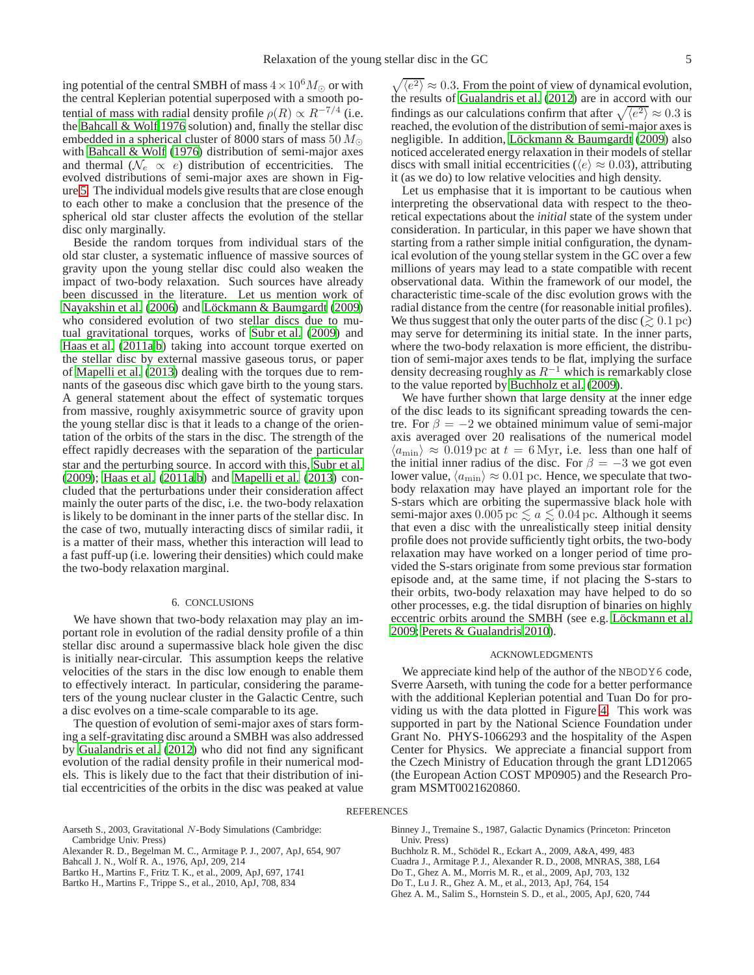ing potential of the central SMBH of mass  $4 \times 10^6 M_{\odot}$  or with the central Keplerian potential superposed with a smooth potential of mass with radial density profile  $\rho(R) \propto R^{-7/4}$  (i.e. the [Bahcall & Wolf 1976](#page-4-9) solution) and, finally the stellar disc embedded in a spherical cluster of 8000 stars of mass 50  $M_{\odot}$ with [Bahcall & Wolf \(1976\)](#page-4-9) distribution of semi-major axes and thermal ( $\mathcal{N}_e \propto e$ ) distribution of eccentricities. The evolved distributions of semi-major axes are shown in Figure [5.](#page-3-2) The individual models give results that are close enough to each other to make a conclusion that the presence of the spherical old star cluster affects the evolution of the stellar disc only marginally.

Beside the random torques from individual stars of the old star cluster, a systematic influence of massive sources of gravity upon the young stellar disc could also weaken the impact of two-body relaxation. Such sources have already been discussed in the literature. Let us mention work of [Nayakshin et al.](#page-5-13) [\(2006\)](#page-5-13) and Löckmann & Baumgardt (2009) who considered evolution of two stellar discs due to mu-tual gravitational torques, works of [Subr et al.](#page-5-15) [\(2009\)](#page-5-15) and [Haas et al. \(2011a,](#page-5-16)[b\)](#page-5-17) taking into account torque exerted on the stellar disc by external massive gaseous torus, or paper of [Mapelli et al. \(2013](#page-5-18)) dealing with the torques due to remnants of the gaseous disc which gave birth to the young stars. A general statement about the effect of systematic torques from massive, roughly axisymmetric source of gravity upon the young stellar disc is that it leads to a change of the orientation of the orbits of the stars in the disc. The strength of the effect rapidly decreases with the separation of the particular star and the perturbing source. In accord with this, [Subr et al.](#page-5-15) [\(2009](#page-5-15)); [Haas et al. \(2011a](#page-5-16)[,b\)](#page-5-17) and [Mapelli et al. \(2013](#page-5-18)) concluded that the perturbations under their consideration affect mainly the outer parts of the disc, i.e. the two-body relaxation is likely to be dominant in the inner parts of the stellar disc. In the case of two, mutually interacting discs of similar radii, it is a matter of their mass, whether this interaction will lead to a fast puff-up (i.e. lowering their densities) which could make the two-body relaxation marginal.

# 6. CONCLUSIONS

<span id="page-4-11"></span>We have shown that two-body relaxation may play an important role in evolution of the radial density profile of a thin stellar disc around a supermassive black hole given the disc is initially near-circular. This assumption keeps the relative velocities of the stars in the disc low enough to enable them to effectively interact. In particular, considering the parameters of the young nuclear cluster in the Galactic Centre, such a disc evolves on a time-scale comparable to its age.

The question of evolution of semi-major axes of stars forming a self-gravitating disc around a SMBH was also addressed by [Gualandris et al.](#page-5-19) [\(2012\)](#page-5-19) who did not find any significant evolution of the radial density profile in their numerical models. This is likely due to the fact that their distribution of initial eccentricities of the orbits in the disc was peaked at value

 $\sqrt{\langle e^2 \rangle} \approx 0.3$ . From the point of view of dynamical evolution, the results of [Gualandris et al.](#page-5-19) [\(2012\)](#page-5-19) are in accord with our findings as our calculations confirm that after  $\sqrt{\langle e^2 \rangle} \approx 0.3$  is reached, the evolution of the distribution of semi-major axes is negligible. In addition, Löckmann & Baumgardt [\(2009\)](#page-5-14) also noticed accelerated energy relaxation in their models of stellar discs with small initial eccentricities ( $\langle e \rangle \approx 0.03$ ), attributing it (as we do) to low relative velocities and high density.

Let us emphasise that it is important to be cautious when interpreting the observational data with respect to the theoretical expectations about the *initial* state of the system under consideration. In particular, in this paper we have shown that starting from a rather simple initial configuration, the dynamical evolution of the young stellar system in the GC over a few millions of years may lead to a state compatible with recent observational data. Within the framework of our model, the characteristic time-scale of the disc evolution grows with the radial distance from the centre (for reasonable initial profiles). We thus suggest that only the outer parts of the disc ( $\geq 0.1$  pc) may serve for determining its initial state. In the inner parts, where the two-body relaxation is more efficient, the distribution of semi-major axes tends to be flat, implying the surface density decreasing roughly as  $R^{-1}$  which is remarkably close to the value reported by [Buchholz et al. \(2009\)](#page-4-0).

We have further shown that large density at the inner edge of the disc leads to its significant spreading towards the centre. For  $\beta = -2$  we obtained minimum value of semi-major axis averaged over 20 realisations of the numerical model  $\langle a_{\rm min} \rangle \approx 0.019$  pc at  $t = 6$  Myr, i.e. less than one half of the initial inner radius of the disc. For  $\beta = -3$  we got even lower value,  $\langle a_{\text{min}} \rangle \approx 0.01$  pc. Hence, we speculate that twobody relaxation may have played an important role for the S-stars which are orbiting the supermassive black hole with semi-major axes  $0.005$  pc  $\le a \le 0.04$  pc. Although it seems that even a disc with the unrealistically steep initial density profile does not provide sufficiently tight orbits, the two-body relaxation may have worked on a longer period of time provided the S-stars originate from some previous star formation episode and, at the same time, if not placing the S-stars to their orbits, two-body relaxation may have helped to do so other processes, e.g. the tidal disruption of binaries on highly eccentric orbits around the SMBH (see e.g. Löckmann et al. [2009;](#page-5-20) [Perets & Gualandris 2010](#page-5-21)).

### ACKNOWLEDGMENTS

We appreciate kind help of the author of the NBODY6 code, Sverre Aarseth, with tuning the code for a better performance with the additional Keplerian potential and Tuan Do for providing us with the data plotted in Figure [4.](#page-3-1) This work was supported in part by the National Science Foundation under Grant No. PHYS-1066293 and the hospitality of the Aspen Center for Physics. We appreciate a financial support from the Czech Ministry of Education through the grant LD12065 (the European Action COST MP0905) and the Research Program MSMT0021620860.

#### **REFERENCES**

- <span id="page-4-10"></span>Aarseth S., 2003, Gravitational N-Body Simulations (Cambridge: Cambridge Univ. Press)
- <span id="page-4-6"></span>Alexander R. D., Begelman M. C., Armitage P. J., 2007, ApJ, 654, 907
- <span id="page-4-9"></span>Bahcall J. N., Wolf R. A., 1976, ApJ, 209, 214
- <span id="page-4-3"></span>Bartko H., Martins F., Fritz T. K., et al., 2009, ApJ, 697, 1741
- <span id="page-4-4"></span>Bartko H., Martins F., Trippe S., et al., 2010, ApJ, 708, 834

<span id="page-4-8"></span>Binney J., Tremaine S., 1987, Galactic Dynamics (Princeton: Princeton Univ. Press)

- <span id="page-4-0"></span>Buchholz R. M., Schödel R., Eckart A., 2009, A&A, 499, 483
- <span id="page-4-7"></span>Cuadra J., Armitage P. J., Alexander R. D., 2008, MNRAS, 388, L64
- <span id="page-4-1"></span>Do T., Ghez A. M., Morris M. R., et al., 2009, ApJ, 703, 132
- <span id="page-4-2"></span>Do T., Lu J. R., Ghez A. M., et al., 2013, ApJ, 764, 154
- <span id="page-4-5"></span>Ghez A. M., Salim S., Hornstein S. D., et al., 2005, ApJ, 620, 744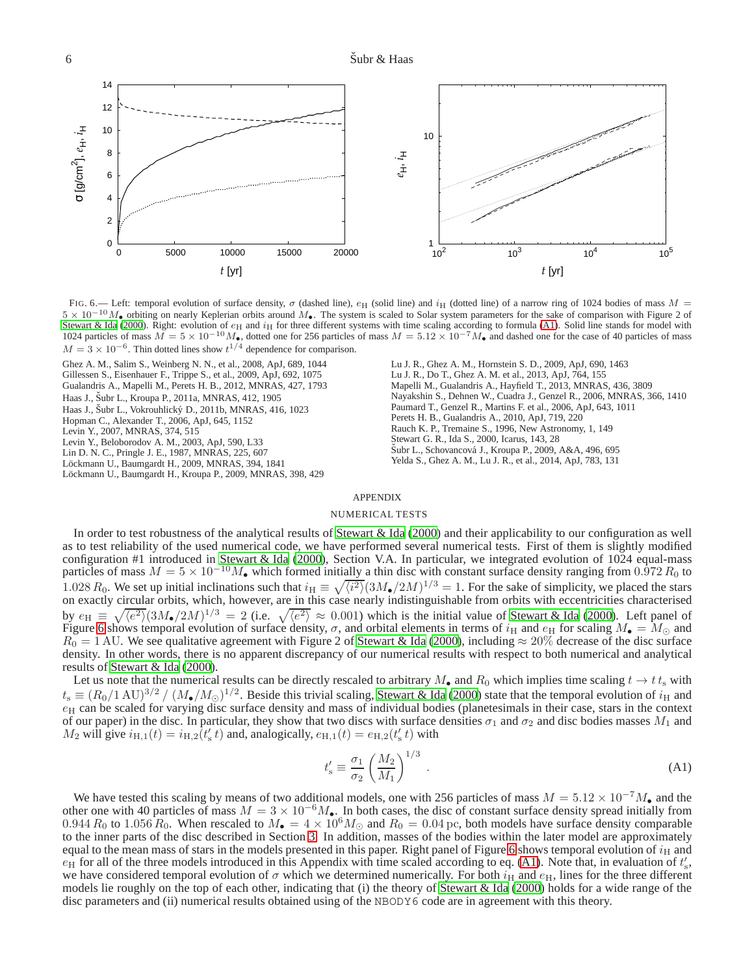

<span id="page-5-23"></span>FIG. 6.— Left: temporal evolution of surface density,  $\sigma$  (dashed line),  $e_H$  (solid line) and  $i_H$  (dotted line) of a narrow ring of 1024 bodies of mass  $M =$  $5 \times 10^{-10} M_{\bullet}$  orbiting on nearly Keplerian orbits around  $M_{\bullet}$ . The system is scaled to Solar system parameters for the sake of comparison with Figure 2 of [Stewart & Ida \(2000](#page-5-7)). Right: evolution of  $e_H$  and  $i_H$  for three different systems with time scaling according to formula [\(A1\)](#page-5-22). Solid line stands for model with 1024 particles of mass  $\overline{M} = 5 \times 10^{-10} M_{\bullet}$ , dotted one for 256 particles of mass  $M = 5.12 \times 10^{-7} M_{\bullet}$  and dashed one for the case of 40 particles of mass  $M = 3 \times 10^{-6}$ . Thin dotted lines show  $t^{1/4}$  dependence for comparison.

<span id="page-5-19"></span><span id="page-5-17"></span><span id="page-5-16"></span><span id="page-5-12"></span><span id="page-5-6"></span><span id="page-5-3"></span><span id="page-5-1"></span><span id="page-5-0"></span>Ghez A. M., Salim S., Weinberg N. N., et al., 2008, ApJ, 689, 1044 Gillessen S., Eisenhauer F., Trippe S., et al., 2009, ApJ, 692, 1075 Gualandris A., Mapelli M., Perets H. B., 2012, MNRAS, 427, 1793 Haas J., Šubr L., Kroupa P., 2011a, MNRAS, 412, 1905 Haas J., Šubr L., Vokrouhlický D., 2011b, MNRAS, 416, 1023 Hopman C., Alexander T., 2006, ApJ, 645, 1152 Levin Y., 2007, MNRAS, 374, 515 Levin Y., Beloborodov A. M., 2003, ApJ, 590, L33 Lin D. N. C., Pringle J. E., 1987, MNRAS, 225, 607 Löckmann U., Baumgardt H., 2009, MNRAS, 394, 1841 Löckmann U., Baumgardt H., Kroupa P., 2009, MNRAS, 398, 429 Lu J. R., Ghez A. M., Hornstein S. D., 2009, ApJ, 690, 1463 Lu J. R., Do T., Ghez A. M. et al., 2013, ApJ, 764, 155 Mapelli M., Gualandris A., Hayfield T., 2013, MNRAS, 436, 3809 Nayakshin S., Dehnen W., Cuadra J., Genzel R., 2006, MNRAS, 366, 1410 Paumard T., Genzel R., Martins F. et al., 2006, ApJ, 643, 1011 Perets H. B., Gualandris A., 2010, ApJ, 719, 220 Rauch K. P., Tremaine S., 1996, New Astronomy, 1, 149 Stewart G. R., Ida S., 2000, Icarus, 143, 28 Subr L., Schovancová J., Kroupa P., 2009, A&A, 496, 695 Yelda S., Ghez A. M., Lu J. R., et al., 2014, ApJ, 783, 131

# <span id="page-5-21"></span><span id="page-5-18"></span><span id="page-5-15"></span><span id="page-5-13"></span><span id="page-5-11"></span><span id="page-5-10"></span><span id="page-5-8"></span><span id="page-5-7"></span><span id="page-5-4"></span><span id="page-5-2"></span>APPENDIX

# NUMERICAL TESTS

<span id="page-5-20"></span><span id="page-5-14"></span><span id="page-5-9"></span><span id="page-5-5"></span>In order to test robustness of the analytical results of [Stewart & Ida \(2000\)](#page-5-7) and their applicability to our configuration as well as to test reliability of the used numerical code, we have performed several numerical tests. First of them is slightly modified configuration #1 introduced in [Stewart & Ida \(2000](#page-5-7)), Section V.A. In particular, we integrated evolution of 1024 equal-mass particles of mass  $M = 5 \times 10^{-10} M_{\bullet}$  which formed initially a thin disc with constant surface d 1.028  $R_0$ . We set up initial inclinations such that  $i_H \equiv \sqrt{\langle i^2 \rangle} (3M_*/2M)^{1/3} = 1$ . For the sake of simplicity, we placed the stars on exactly circular orbits, which, however, are in this case nearly indistinguishable from orbits with eccentricities characterised by  $e_H \equiv \sqrt{\langle e^2 \rangle} (3M_{\bullet}/2M)^{1/3} = 2$  (i.e.  $\sqrt{\langle e^2 \rangle} \approx 0.001$ ) which is the initial value of [Stewart & Ida \(2000\)](#page-5-7). Left panel of Figure [6](#page-5-23) shows temporal evolution of surface density,  $\sigma$ , and orbital elements in terms of  $i_H$  and  $e_H$  for scaling  $M_\bullet = M_\odot$  and  $R_0 = 1$  AU. We see qualitative agreement with Figure 2 of [Stewart & Ida \(2000\)](#page-5-7), including  $\approx 20\%$  decrease of the disc surface density. In other words, there is no apparent discrepancy of our numerical results with respect to both numerical and analytical results of [Stewart & Ida \(2000\)](#page-5-7).

Let us note that the numerical results can be directly rescaled to arbitrary  $M_{\bullet}$  and  $R_0$  which implies time scaling  $t \to t t_s$  with  $t_s \equiv (R_0/1 \text{ AU})^{3/2} / (M_{\bullet}/M_{\odot})^{1/2}$ . Beside this trivial scaling, [Stewart & Ida \(2000\)](#page-5-7) state that the temporal evolution of  $i_{\rm H}$  and  $e_H$  can be scaled for varying disc surface density and mass of individual bodies (planetesimals in their case, stars in the context of our paper) in the disc. In particular, they show that two discs with surface densities  $\sigma_1$  and  $\sigma_2$  and disc bodies masses  $M_1$  and  $M_2$  will give  $i_{\text{H},1}(t) = i_{\text{H},2}(t_s' t)$  and, analogically,  $e_{\text{H},1}(t) = e_{\text{H},2}(t_s' t)$  with

<span id="page-5-22"></span>
$$
t'_{\rm s} \equiv \frac{\sigma_1}{\sigma_2} \left(\frac{M_2}{M_1}\right)^{1/3} \,. \tag{A1}
$$

We have tested this scaling by means of two additional models, one with 256 particles of mass  $M = 5.12 \times 10^{-7} M_{\bullet}$  and the other one with 40 particles of mass  $M = 3 \times 10^{-6} M_{\bullet}$ . In both cases, the disc of constant surface density spread initially from 0.944  $R_0$  to 1.056  $R_0$ . When rescaled to  $M_{\bullet} = 4 \times 10^6 M_{\odot}$  and  $R_0 = 0.04$  pc, both models have surface density comparable to the inner parts of the disc described in Section [3.](#page-1-3) In addition, masses of the bodies within the later model are approximately equal to the mean mass of stars in the models presented in this paper. Right panel of Figure [6](#page-5-23) shows temporal evolution of  $i_H$  and  $e_H$  for all of the three models introduced in this Appendix with time scaled according to eq. [\(A1\)](#page-5-22). Note that, in evaluation of  $t_s'$ , we have considered temporal evolution of  $\sigma$  which we determined numerically. For both  $i_H$  and  $e_H$ , lines for the three different models lie roughly on the top of each other, indicating that (i) the theory of [Stewart & Ida \(2000](#page-5-7)) holds for a wide range of the disc parameters and (ii) numerical results obtained using of the NBODY6 code are in agreement with this theory.